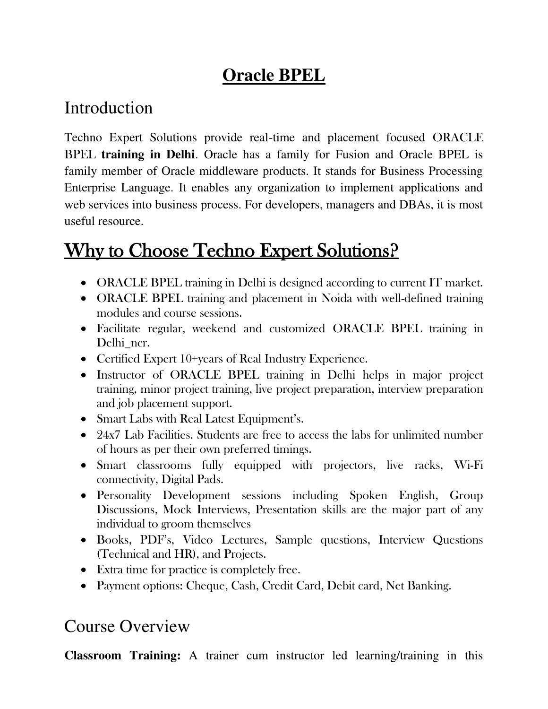## **Oracle BPEL**

#### Introduction

Techno Expert Solutions provide real-time and placement focused ORACLE BPEL **training in Delhi**. Oracle has a family for Fusion and Oracle BPEL is family member of Oracle middleware products. It stands for Business Processing Enterprise Language. It enables any organization to implement applications and web services into business process. For developers, managers and DBAs, it is most useful resource.

# Why to Choose Techno Expert Solutions?

- ORACLE BPEL training in Delhi is designed according to current IT market.
- ORACLE BPEL training and placement in Noida with well-defined training modules and course sessions.
- Facilitate regular, weekend and customized ORACLE BPEL training in Delhi\_ncr.
- Certified Expert 10+years of Real Industry Experience.
- Instructor of ORACLE BPEL training in Delhi helps in major project training, minor project training, live project preparation, interview preparation and job placement support.
- Smart Labs with Real Latest Equipment's.
- 24x7 Lab Facilities. Students are free to access the labs for unlimited number of hours as per their own preferred timings.
- Smart classrooms fully equipped with projectors, live racks, Wi-Fi connectivity, Digital Pads.
- Personality Development sessions including Spoken English, Group Discussions, Mock Interviews, Presentation skills are the major part of any individual to groom themselves
- Books, PDF's, Video Lectures, Sample questions, Interview Questions (Technical and HR), and Projects.
- Extra time for practice is completely free.
- Payment options: Cheque, Cash, Credit Card, Debit card, Net Banking.

#### Course Overview

**Classroom Training:** A trainer cum instructor led learning/training in this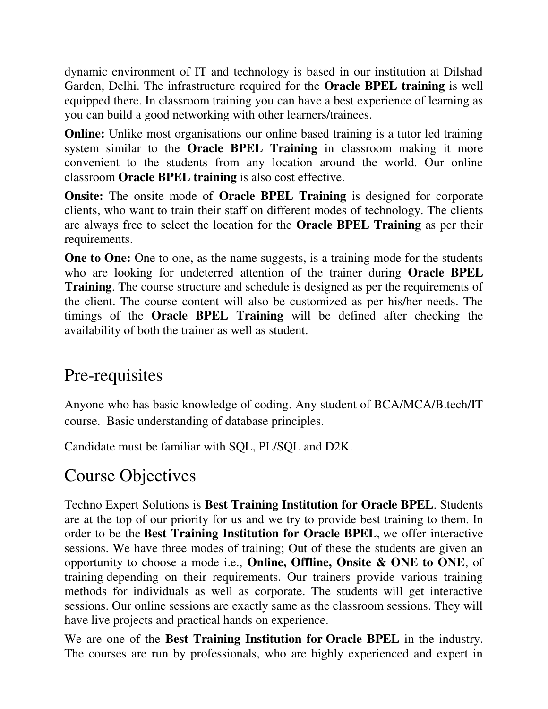dynamic environment of IT and technology is based in our institution at Dilshad Garden, Delhi. The infrastructure required for the **Oracle BPEL training** is well equipped there. In classroom training you can have a best experience of learning as you can build a good networking with other learners/trainees.

**Online:** Unlike most organisations our online based training is a tutor led training system similar to the **Oracle BPEL Training** in classroom making it more convenient to the students from any location around the world. Our online classroom **Oracle BPEL training** is also cost effective.

**Onsite:** The onsite mode of **Oracle BPEL Training** is designed for corporate clients, who want to train their staff on different modes of technology. The clients are always free to select the location for the **Oracle BPEL Training** as per their requirements.

**One to One:** One to one, as the name suggests, is a training mode for the students who are looking for undeterred attention of the trainer during **Oracle BPEL Training**. The course structure and schedule is designed as per the requirements of the client. The course content will also be customized as per his/her needs. The timings of the **Oracle BPEL Training** will be defined after checking the availability of both the trainer as well as student.

#### Pre-requisites

Anyone who has basic knowledge of coding. Any student of BCA/MCA/B.tech/IT course. Basic understanding of database principles.

Candidate must be familiar with SQL, PL/SQL and D2K.

#### Course Objectives

Techno Expert Solutions is **Best Training Institution for Oracle BPEL**. Students are at the top of our priority for us and we try to provide best training to them. In order to be the **Best Training Institution for Oracle BPEL**, we offer interactive sessions. We have three modes of training; Out of these the students are given an opportunity to choose a mode i.e., **Online, Offline, Onsite & ONE to ONE**, of training depending on their requirements. Our trainers provide various training methods for individuals as well as corporate. The students will get interactive sessions. Our online sessions are exactly same as the classroom sessions. They will have live projects and practical hands on experience.

We are one of the **Best Training Institution for Oracle BPEL** in the industry. The courses are run by professionals, who are highly experienced and expert in